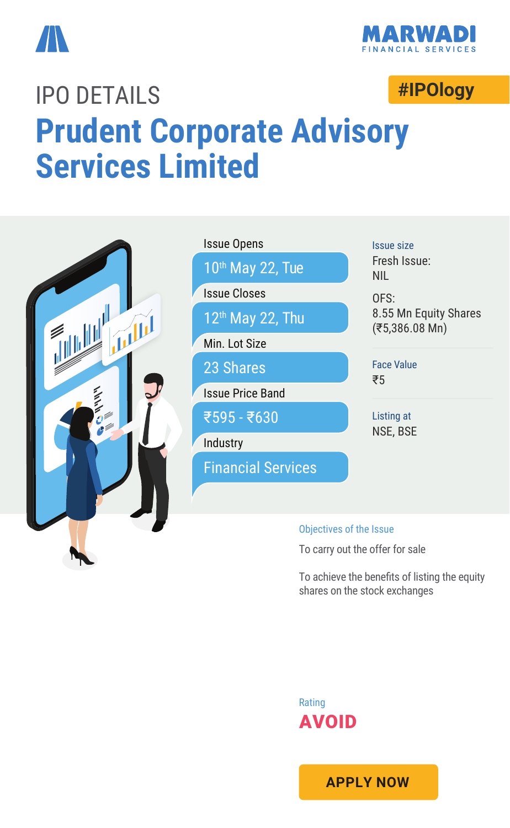



# **#IPOlogy** IPO DETAILS **Prudent Corporate Advisory Services Limited**



To achieve the benefits of listing the equity shares on the stock exchanges



**APPLY NOW**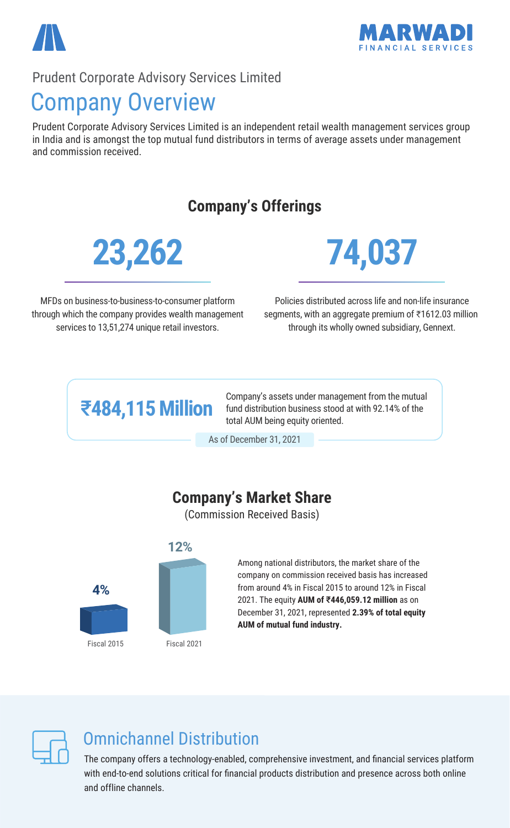

#### Prudent Corporate Advisory Services Limited

### Company Overview

Prudent Corporate Advisory Services Limited is an independent retail wealth management services group in India and is amongst the top mutual fund distributors in terms of average assets under management and commission received.

#### **Company's Offerings**





MFDs on business-to-business-to-consumer platform through which the company provides wealth management services to 13,51,274 unique retail investors.

Policies distributed across life and non-life insurance segments, with an aggregate premium of ₹1612.03 million through its wholly owned subsidiary, Gennext.

## ₹**484,115 Million**

Company's assets under management from the mutual fund distribution business stood at with 92.14% of the total AUM being equity oriented.

As of December 31, 2021

#### **Company's Market Share**

(Commission Received Basis)



Among national distributors, the market share of the company on commission received basis has increased from around 4% in Fiscal 2015 to around 12% in Fiscal 2021. The equity **AUM of** ₹**446,059.12 million** as on December 31, 2021, represented **2.39% of total equity AUM of mutual fund industry.**



### Omnichannel Distribution

The company offers a technology-enabled, comprehensive investment, and financial services platform with end-to-end solutions critical for financial products distribution and presence across both online and offline channels.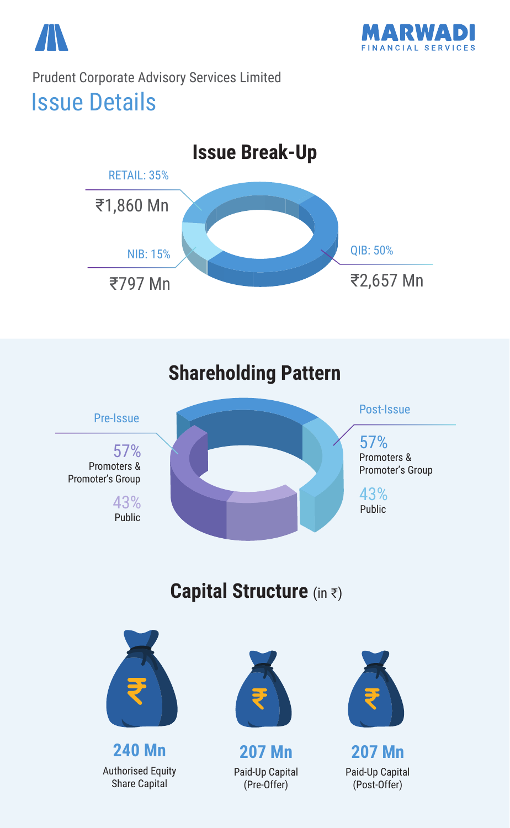

Issue Details Prudent Corporate Advisory Services Limited





### **Capital Structure** (in ₹)



**240 Mn** Authorised Equity Share Capital



```
207 Mn
Paid-Up Capital
  (Pre-Offer)
```


**207 Mn** Paid-Up Capital (Post-Offer)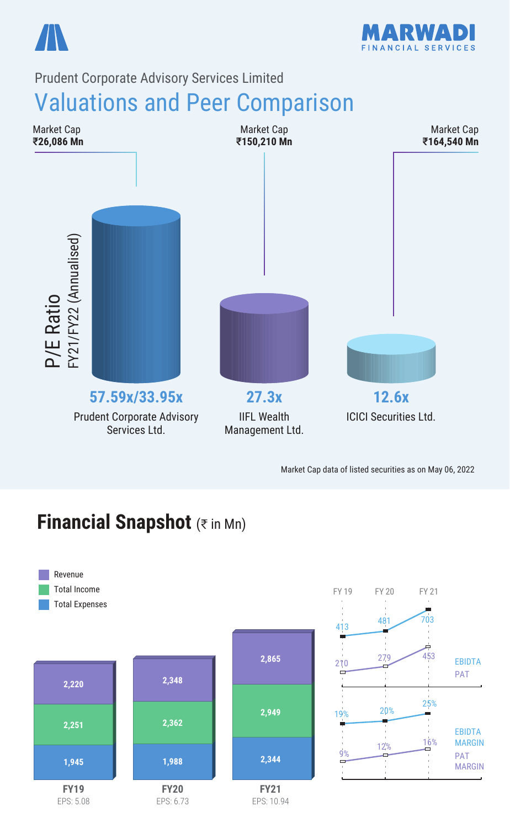



#### Prudent Corporate Advisory Services Limited

### Valuations and Peer Comparison



Market Cap data of listed securities as on May 06, 2022

### **Financial Snapshot** (₹ in Mn)